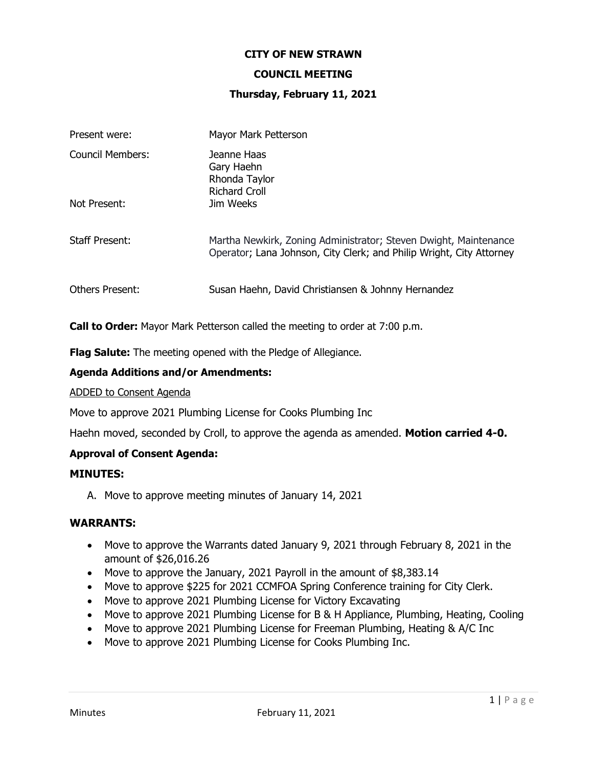#### **CITY OF NEW STRAWN**

#### **COUNCIL MEETING**

#### **Thursday, February 11, 2021**

| Present were:           | Mayor Mark Petterson                                                                                                                     |
|-------------------------|------------------------------------------------------------------------------------------------------------------------------------------|
| <b>Council Members:</b> | Jeanne Haas<br>Gary Haehn<br>Rhonda Taylor<br><b>Richard Croll</b>                                                                       |
| Not Present:            | Jim Weeks                                                                                                                                |
| <b>Staff Present:</b>   | Martha Newkirk, Zoning Administrator; Steven Dwight, Maintenance<br>Operator; Lana Johnson, City Clerk; and Philip Wright, City Attorney |
| <b>Others Present:</b>  | Susan Haehn, David Christiansen & Johnny Hernandez                                                                                       |

**Call to Order:** Mayor Mark Petterson called the meeting to order at 7:00 p.m.

**Flag Salute:** The meeting opened with the Pledge of Allegiance.

### **Agenda Additions and/or Amendments:**

#### ADDED to Consent Agenda

Move to approve 2021 Plumbing License for Cooks Plumbing Inc

Haehn moved, seconded by Croll, to approve the agenda as amended. **Motion carried 4-0.**

#### **Approval of Consent Agenda:**

#### **MINUTES:**

A. Move to approve meeting minutes of January 14, 2021

#### **WARRANTS:**

- Move to approve the Warrants dated January 9, 2021 through February 8, 2021 in the amount of \$26,016.26
- Move to approve the January, 2021 Payroll in the amount of \$8,383.14
- Move to approve \$225 for 2021 CCMFOA Spring Conference training for City Clerk.
- Move to approve 2021 Plumbing License for Victory Excavating
- Move to approve 2021 Plumbing License for B & H Appliance, Plumbing, Heating, Cooling
- Move to approve 2021 Plumbing License for Freeman Plumbing, Heating & A/C Inc
- Move to approve 2021 Plumbing License for Cooks Plumbing Inc.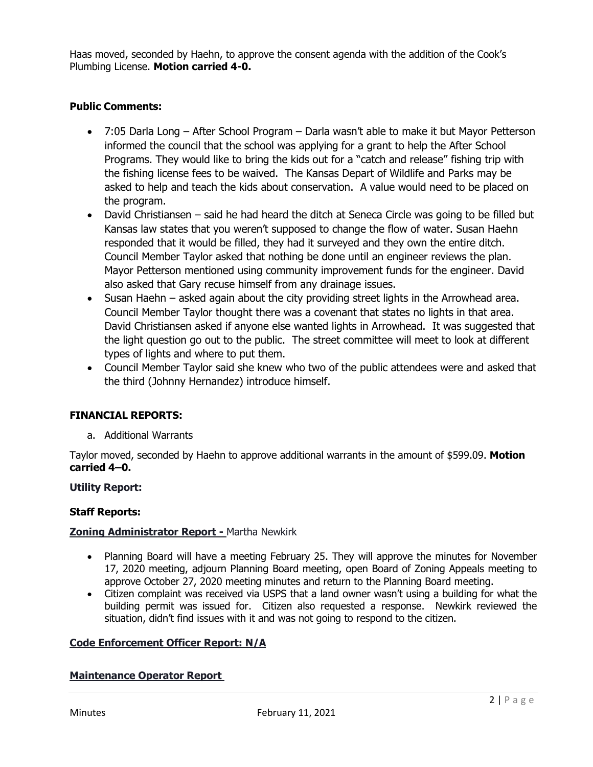Haas moved, seconded by Haehn, to approve the consent agenda with the addition of the Cook's Plumbing License. **Motion carried 4-0.**

# **Public Comments:**

- 7:05 Darla Long After School Program Darla wasn't able to make it but Mayor Petterson informed the council that the school was applying for a grant to help the After School Programs. They would like to bring the kids out for a "catch and release" fishing trip with the fishing license fees to be waived. The Kansas Depart of Wildlife and Parks may be asked to help and teach the kids about conservation. A value would need to be placed on the program.
- David Christiansen said he had heard the ditch at Seneca Circle was going to be filled but Kansas law states that you weren't supposed to change the flow of water. Susan Haehn responded that it would be filled, they had it surveyed and they own the entire ditch. Council Member Taylor asked that nothing be done until an engineer reviews the plan. Mayor Petterson mentioned using community improvement funds for the engineer. David also asked that Gary recuse himself from any drainage issues.
- Susan Haehn asked again about the city providing street lights in the Arrowhead area. Council Member Taylor thought there was a covenant that states no lights in that area. David Christiansen asked if anyone else wanted lights in Arrowhead. It was suggested that the light question go out to the public. The street committee will meet to look at different types of lights and where to put them.
- Council Member Taylor said she knew who two of the public attendees were and asked that the third (Johnny Hernandez) introduce himself.

### **FINANCIAL REPORTS:**

a. Additional Warrants

Taylor moved, seconded by Haehn to approve additional warrants in the amount of \$599.09. **Motion carried 4–0.**

### **Utility Report:**

### **Staff Reports:**

### **Zoning Administrator Report -** Martha Newkirk

- Planning Board will have a meeting February 25. They will approve the minutes for November 17, 2020 meeting, adjourn Planning Board meeting, open Board of Zoning Appeals meeting to approve October 27, 2020 meeting minutes and return to the Planning Board meeting.
- Citizen complaint was received via USPS that a land owner wasn't using a building for what the building permit was issued for. Citizen also requested a response. Newkirk reviewed the situation, didn't find issues with it and was not going to respond to the citizen.

### **Code Enforcement Officer Report: N/A**

### **Maintenance Operator Report**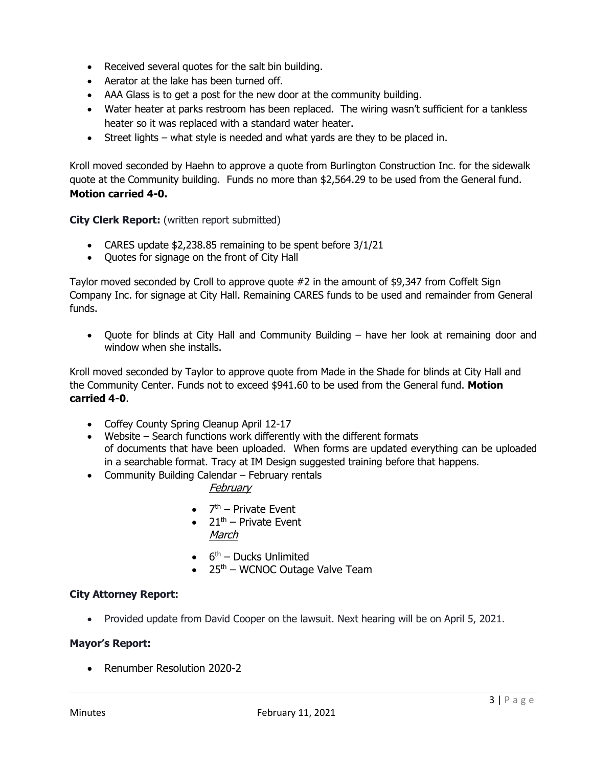- Received several quotes for the salt bin building.
- Aerator at the lake has been turned off.
- AAA Glass is to get a post for the new door at the community building.
- Water heater at parks restroom has been replaced. The wiring wasn't sufficient for a tankless heater so it was replaced with a standard water heater.
- Street lights what style is needed and what yards are they to be placed in.

Kroll moved seconded by Haehn to approve a quote from Burlington Construction Inc. for the sidewalk quote at the Community building. Funds no more than \$2,564.29 to be used from the General fund. **Motion carried 4-0.**

**City Clerk Report:** (written report submitted)

- CARES update \$2,238.85 remaining to be spent before 3/1/21
- Quotes for signage on the front of City Hall

Taylor moved seconded by Croll to approve quote #2 in the amount of \$9,347 from Coffelt Sign Company Inc. for signage at City Hall. Remaining CARES funds to be used and remainder from General funds.

• Quote for blinds at City Hall and Community Building – have her look at remaining door and window when she installs.

Kroll moved seconded by Taylor to approve quote from Made in the Shade for blinds at City Hall and the Community Center. Funds not to exceed \$941.60 to be used from the General fund. **Motion carried 4-0**.

- Coffey County Spring Cleanup April 12-17
- Website Search functions work differently with the different formats of documents that have been uploaded. When forms are updated everything can be uploaded in a searchable format. Tracy at IM Design suggested training before that happens.
- Community Building Calendar February rentals

# February

- $\bullet$  7<sup>th</sup> Private Event
- $21<sup>th</sup>$  Private Event March
- $\bullet$  6<sup>th</sup> Ducks Unlimited
- $\bullet$  25<sup>th</sup> WCNOC Outage Valve Team

# **City Attorney Report:**

• Provided update from David Cooper on the lawsuit. Next hearing will be on April 5, 2021.

### **Mayor's Report:**

• Renumber Resolution 2020-2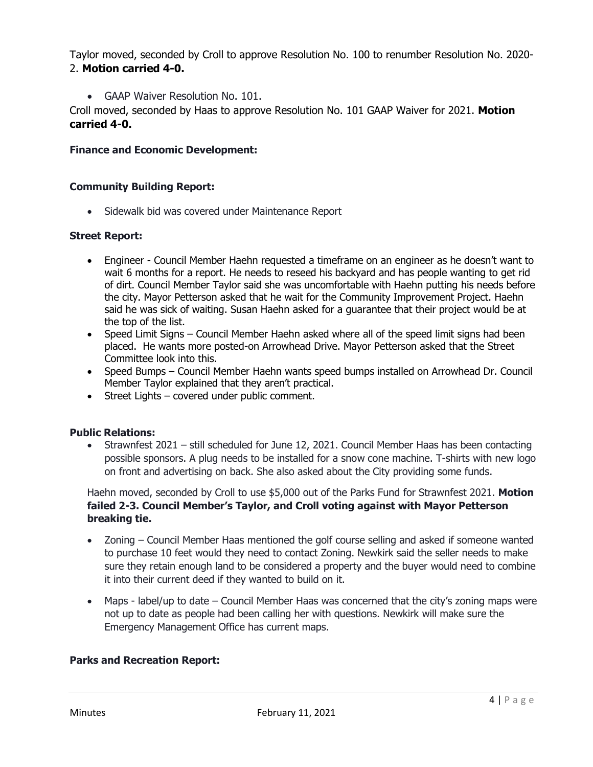Taylor moved, seconded by Croll to approve Resolution No. 100 to renumber Resolution No. 2020- 2. **Motion carried 4-0.**

• GAAP Waiver Resolution No. 101.

Croll moved, seconded by Haas to approve Resolution No. 101 GAAP Waiver for 2021. **Motion carried 4-0.**

# **Finance and Economic Development:**

## **Community Building Report:**

• Sidewalk bid was covered under Maintenance Report

### **Street Report:**

- Engineer Council Member Haehn requested a timeframe on an engineer as he doesn't want to wait 6 months for a report. He needs to reseed his backyard and has people wanting to get rid of dirt. Council Member Taylor said she was uncomfortable with Haehn putting his needs before the city. Mayor Petterson asked that he wait for the Community Improvement Project. Haehn said he was sick of waiting. Susan Haehn asked for a guarantee that their project would be at the top of the list.
- Speed Limit Signs Council Member Haehn asked where all of the speed limit signs had been placed. He wants more posted-on Arrowhead Drive. Mayor Petterson asked that the Street Committee look into this.
- Speed Bumps Council Member Haehn wants speed bumps installed on Arrowhead Dr. Council Member Taylor explained that they aren't practical.
- Street Lights covered under public comment.

### **Public Relations:**

• Strawnfest 2021 – still scheduled for June 12, 2021. Council Member Haas has been contacting possible sponsors. A plug needs to be installed for a snow cone machine. T-shirts with new logo on front and advertising on back. She also asked about the City providing some funds.

Haehn moved, seconded by Croll to use \$5,000 out of the Parks Fund for Strawnfest 2021. **Motion failed 2-3. Council Member's Taylor, and Croll voting against with Mayor Petterson breaking tie.** 

- Zoning Council Member Haas mentioned the golf course selling and asked if someone wanted to purchase 10 feet would they need to contact Zoning. Newkirk said the seller needs to make sure they retain enough land to be considered a property and the buyer would need to combine it into their current deed if they wanted to build on it.
- Maps label/up to date Council Member Haas was concerned that the city's zoning maps were not up to date as people had been calling her with questions. Newkirk will make sure the Emergency Management Office has current maps.

### **Parks and Recreation Report:**